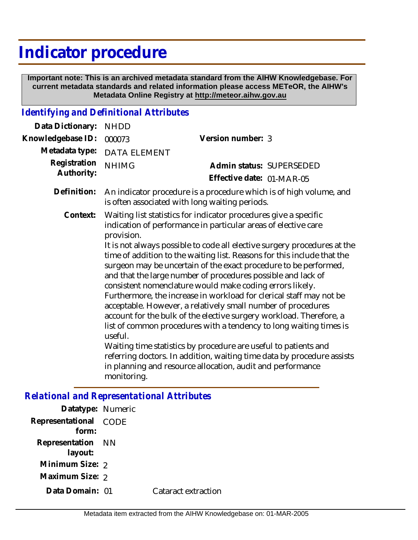# **Indicator procedure**

 **Important note: This is an archived metadata standard from the AIHW Knowledgebase. For current metadata standards and related information please access METeOR, the AIHW's Metadata Online Registry at http://meteor.aihw.gov.au**

## *Identifying and Definitional Attributes*

| Data Dictionary:           | <b>NHDD</b>                                                                                                                                                                                                                                                                                                                                                                                                                                                                                                                                                                                                                                                                                                                                                                                                                                                                                                                                                                                                                      |                                                       |  |
|----------------------------|----------------------------------------------------------------------------------------------------------------------------------------------------------------------------------------------------------------------------------------------------------------------------------------------------------------------------------------------------------------------------------------------------------------------------------------------------------------------------------------------------------------------------------------------------------------------------------------------------------------------------------------------------------------------------------------------------------------------------------------------------------------------------------------------------------------------------------------------------------------------------------------------------------------------------------------------------------------------------------------------------------------------------------|-------------------------------------------------------|--|
| Knowledgebase ID:          | 000073                                                                                                                                                                                                                                                                                                                                                                                                                                                                                                                                                                                                                                                                                                                                                                                                                                                                                                                                                                                                                           | Version number: 3                                     |  |
| Metadata type:             | <b>DATA ELEMENT</b>                                                                                                                                                                                                                                                                                                                                                                                                                                                                                                                                                                                                                                                                                                                                                                                                                                                                                                                                                                                                              |                                                       |  |
| Registration<br>Authority: | <b>NHIMG</b>                                                                                                                                                                                                                                                                                                                                                                                                                                                                                                                                                                                                                                                                                                                                                                                                                                                                                                                                                                                                                     | Admin status: SUPERSEDED<br>Effective date: 01-MAR-05 |  |
| Definition:                | An indicator procedure is a procedure which is of high volume, and<br>is often associated with long waiting periods.                                                                                                                                                                                                                                                                                                                                                                                                                                                                                                                                                                                                                                                                                                                                                                                                                                                                                                             |                                                       |  |
| Context:                   | Waiting list statistics for indicator procedures give a specific<br>indication of performance in particular areas of elective care<br>provision.<br>It is not always possible to code all elective surgery procedures at the<br>time of addition to the waiting list. Reasons for this include that the<br>surgeon may be uncertain of the exact procedure to be performed,<br>and that the large number of procedures possible and lack of<br>consistent nomenclature would make coding errors likely.<br>Furthermore, the increase in workload for clerical staff may not be<br>acceptable. However, a relatively small number of procedures<br>account for the bulk of the elective surgery workload. Therefore, a<br>list of common procedures with a tendency to long waiting times is<br>useful.<br>Waiting time statistics by procedure are useful to patients and<br>referring doctors. In addition, waiting time data by procedure assists<br>in planning and resource allocation, audit and performance<br>monitoring. |                                                       |  |

# *Relational and Representational Attributes*

| Datatype: Numeric              |                     |
|--------------------------------|---------------------|
| Representational CODE<br>form: |                     |
| Representation NN<br>layout:   |                     |
| Minimum Size: 2                |                     |
| Maximum Size: 2                |                     |
| Data Domain: 01                | Cataract extraction |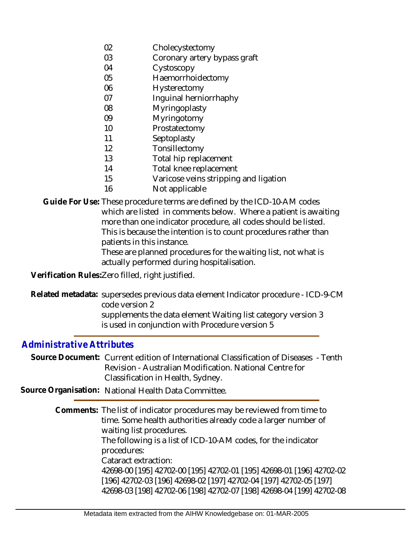- 02 Cholecystectomy
- 03 Coronary artery bypass graft
- 04 Cystoscopy
- 05 Haemorrhoidectomy
- 06 Hysterectomy
- 07 Inguinal herniorrhaphy
- 08 Myringoplasty
- 09 Myringotomy
- 10 Prostatectomy
- 11 **Septoplasty**
- 12 Tonsillectomy
- 13 Total hip replacement
- 14 Total knee replacement
- 15 Varicose veins stripping and ligation
- 16 Not applicable
- Guide For Use: These procedure terms are defined by the ICD-10-AM codes which are listed in comments below. Where a patient is awaiting more than one indicator procedure, all codes should be listed. This is because the intention is to count procedures rather than patients in this instance.

These are planned procedures for the waiting list, not what is actually performed during hospitalisation.

**Verification Rules:**Zero filled, right justified.

Related metadata: supersedes previous data element Indicator procedure - ICD-9-CM code version 2 supplements the data element Waiting list category version 3 is used in conjunction with Procedure version 5

#### *Administrative Attributes*

Source Document: Current edition of International Classification of Diseases - Tenth Revision - Australian Modification. National Centre for Classification in Health, Sydney.

**Source Organisation:** National Health Data Committee.

Comments: The list of indicator procedures may be reviewed from time to time. Some health authorities already code a larger number of waiting list procedures. The following is a list of ICD-10-AM codes, for the indicator procedures: Cataract extraction: 42698-00 [195] 42702-00 [195] 42702-01 [195] 42698-01 [196] 42702-02 [196] 42702-03 [196] 42698-02 [197] 42702-04 [197] 42702-05 [197] 42698-03 [198] 42702-06 [198] 42702-07 [198] 42698-04 [199] 42702-08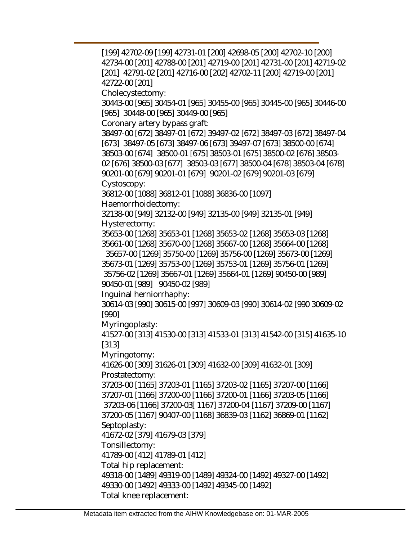[199] 42702-09 [199] 42731-01 [200] 42698-05 [200] 42702-10 [200] 42734-00 [201] 42788-00 [201] 42719-00 [201] 42731-00 [201] 42719-02 [201] 42791-02 [201] 42716-00 [202] 42702-11 [200] 42719-00 [201] 42722-00 [201] Cholecystectomy: 30443-00 [965] 30454-01 [965] 30455-00 [965] 30445-00 [965] 30446-00 [965] 30448-00 [965] 30449-00 [965] Coronary artery bypass graft: 38497-00 [672] 38497-01 [672] 39497-02 [672] 38497-03 [672] 38497-04 [673] 38497-05 [673] 38497-06 [673] 39497-07 [673] 38500-00 [674] 38503-00 [674] 38500-01 [675] 38503-01 [675] 38500-02 [676] 38503- 02 [676] 38500-03 [677] 38503-03 [677] 38500-04 [678] 38503-04 [678] 90201-00 [679] 90201-01 [679] 90201-02 [679] 90201-03 [679] Cystoscopy: 36812-00 [1088] 36812-01 [1088] 36836-00 [1097] Haemorrhoidectomy: 32138-00 [949] 32132-00 [949] 32135-00 [949] 32135-01 [949] Hysterectomy: 35653-00 [1268] 35653-01 [1268] 35653-02 [1268] 35653-03 [1268] 35661-00 [1268] 35670-00 [1268] 35667-00 [1268] 35664-00 [1268] 35657-00 [1269] 35750-00 [1269] 35756-00 [1269] 35673-00 [1269] 35673-01 [1269] 35753-00 [1269] 35753-01 [1269] 35756-01 [1269] 35756-02 [1269] 35667-01 [1269] 35664-01 [1269] 90450-00 [989] 90450-01 [989] 90450-02 [989] Inguinal herniorrhaphy: 30614-03 [990] 30615-00 [997] 30609-03 [990] 30614-02 [990 30609-02 [990] Myringoplasty: 41527-00 [313] 41530-00 [313] 41533-01 [313] 41542-00 [315] 41635-10 [313] Myringotomy: 41626-00 [309] 31626-01 [309] 41632-00 [309] 41632-01 [309] Prostatectomy: 37203-00 [1165] 37203-01 [1165] 37203-02 [1165] 37207-00 [1166] 37207-01 [1166] 37200-00 [1166] 37200-01 [1166] 37203-05 [1166] 37203-06 [1166] 37200-03[ 1167] 37200-04 [1167] 37209-00 [1167] 37200-05 [1167] 90407-00 [1168] 36839-03 [1162] 36869-01 [1162] Septoplasty: 41672-02 [379] 41679-03 [379] Tonsillectomy: 41789-00 [412] 41789-01 [412] Total hip replacement: 49318-00 [1489] 49319-00 [1489] 49324-00 [1492] 49327-00 [1492] 49330-00 [1492] 49333-00 [1492] 49345-00 [1492] Total knee replacement: